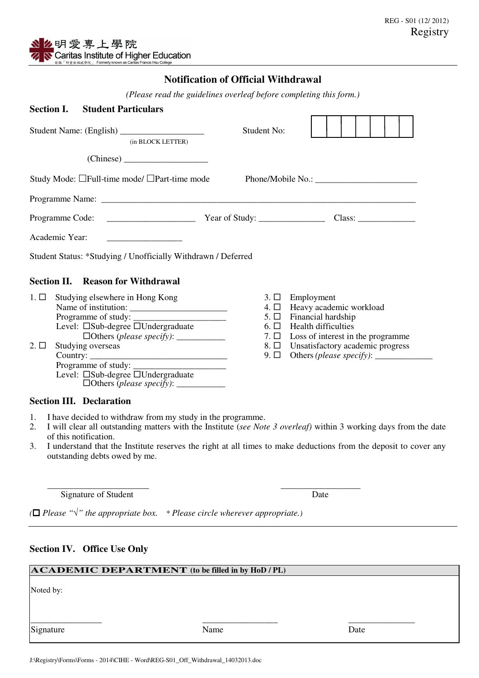## **Notification of Official Withdrawal**

*(Please read the guidelines overleaf before completing this form.)* 

| <b>Section I.</b>      |  | <b>Student Particulars</b>                                                                                                                                                                                                                                               |                                             |                                                                                                                                                                                             |  |  |  |  |  |  |
|------------------------|--|--------------------------------------------------------------------------------------------------------------------------------------------------------------------------------------------------------------------------------------------------------------------------|---------------------------------------------|---------------------------------------------------------------------------------------------------------------------------------------------------------------------------------------------|--|--|--|--|--|--|
| (in BLOCK LETTER)      |  |                                                                                                                                                                                                                                                                          | Student No:                                 |                                                                                                                                                                                             |  |  |  |  |  |  |
|                        |  |                                                                                                                                                                                                                                                                          |                                             |                                                                                                                                                                                             |  |  |  |  |  |  |
|                        |  | Study Mode: $\Box$ Full-time mode/ $\Box$ Part-time mode                                                                                                                                                                                                                 |                                             |                                                                                                                                                                                             |  |  |  |  |  |  |
|                        |  |                                                                                                                                                                                                                                                                          |                                             |                                                                                                                                                                                             |  |  |  |  |  |  |
|                        |  |                                                                                                                                                                                                                                                                          |                                             |                                                                                                                                                                                             |  |  |  |  |  |  |
| Academic Year:         |  |                                                                                                                                                                                                                                                                          |                                             |                                                                                                                                                                                             |  |  |  |  |  |  |
|                        |  | Student Status: *Studying / Unofficially Withdrawn / Deferred                                                                                                                                                                                                            |                                             |                                                                                                                                                                                             |  |  |  |  |  |  |
|                        |  | <b>Section II. Reason for Withdrawal</b>                                                                                                                                                                                                                                 |                                             |                                                                                                                                                                                             |  |  |  |  |  |  |
| $1. \Box$<br>$2. \Box$ |  | Studying elsewhere in Hong Kong<br>Programme of study:<br>Level: □Sub-degree □Undergraduate<br>$\Box$ Others (please specify): $\_\_\_\_\_\_\_\_\_\_\_\_\_\_\_\_\_\_$<br>Studying overseas<br>Programme of study:<br>Level: $\square$ Sub-degree $\square$ Undergraduate | 4. □<br>$5. \Box$<br>$6. \Box$<br>$9. \Box$ | $3. \Box$ Employment<br>Heavy academic workload<br>Financial hardship<br><b>Health difficulties</b><br>7. $\Box$ Loss of interest in the programme<br>8. □ Unsatisfactory academic progress |  |  |  |  |  |  |
|                        |  | <b>Section III. Declaration</b>                                                                                                                                                                                                                                          |                                             |                                                                                                                                                                                             |  |  |  |  |  |  |

- 1. I have decided to withdraw from my study in the programme.
- 2. I will clear all outstanding matters with the Institute (*see Note 3 overleaf)* within 3 working days from the date of this notification.
- 3. I understand that the Institute reserves the right at all times to make deductions from the deposit to cover any outstanding debts owed by me.

 $\overline{\phantom{a}}$  ,  $\overline{\phantom{a}}$  ,  $\overline{\phantom{a}}$  ,  $\overline{\phantom{a}}$  ,  $\overline{\phantom{a}}$  ,  $\overline{\phantom{a}}$  ,  $\overline{\phantom{a}}$  ,  $\overline{\phantom{a}}$  ,  $\overline{\phantom{a}}$  ,  $\overline{\phantom{a}}$  ,  $\overline{\phantom{a}}$  ,  $\overline{\phantom{a}}$  ,  $\overline{\phantom{a}}$  ,  $\overline{\phantom{a}}$  ,  $\overline{\phantom{a}}$  ,  $\overline{\phantom{a}}$ Signature of Student Date

*( Please "*√*" the appropriate box. \* Please circle wherever appropriate.)* l

## **Section IV. Office Use Only**

| $\bf{ACADERMIC}$ DEPARTMENT (to be filled in by HoD / PL) |      |      |  |  |  |  |  |  |
|-----------------------------------------------------------|------|------|--|--|--|--|--|--|
| Noted by:                                                 |      |      |  |  |  |  |  |  |
| Signature                                                 | Name | Date |  |  |  |  |  |  |